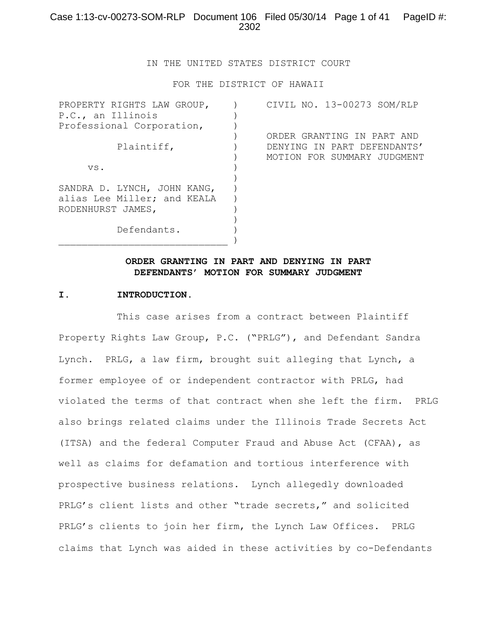IN THE UNITED STATES DISTRICT COURT

FOR THE DISTRICT OF HAWAII

| PROPERTY RIGHTS LAW GROUP,  | CIVIL NO. 13-00273 SOM/RLP  |
|-----------------------------|-----------------------------|
| P.C., an Illinois           |                             |
| Professional Corporation,   |                             |
|                             | ORDER GRANTING IN PART AND  |
| Plaintiff,                  | DENYING IN PART DEFENDANTS' |
|                             | MOTION FOR SUMMARY JUDGMENT |
| VS.                         |                             |
|                             |                             |
| SANDRA D. LYNCH, JOHN KANG, |                             |
| alias Lee Miller; and KEALA |                             |
| RODENHURST JAMES,           |                             |
|                             |                             |
| Defendants.                 |                             |
|                             |                             |

## **ORDER GRANTING IN PART AND DENYING IN PART DEFENDANTS' MOTION FOR SUMMARY JUDGMENT**

#### **I. INTRODUCTION.**

This case arises from a contract between Plaintiff Property Rights Law Group, P.C. ("PRLG"), and Defendant Sandra Lynch. PRLG, a law firm, brought suit alleging that Lynch, a former employee of or independent contractor with PRLG, had violated the terms of that contract when she left the firm. PRLG also brings related claims under the Illinois Trade Secrets Act (ITSA) and the federal Computer Fraud and Abuse Act (CFAA), as well as claims for defamation and tortious interference with prospective business relations. Lynch allegedly downloaded PRLG's client lists and other "trade secrets," and solicited PRLG's clients to join her firm, the Lynch Law Offices**.** PRLG claims that Lynch was aided in these activities by co-Defendants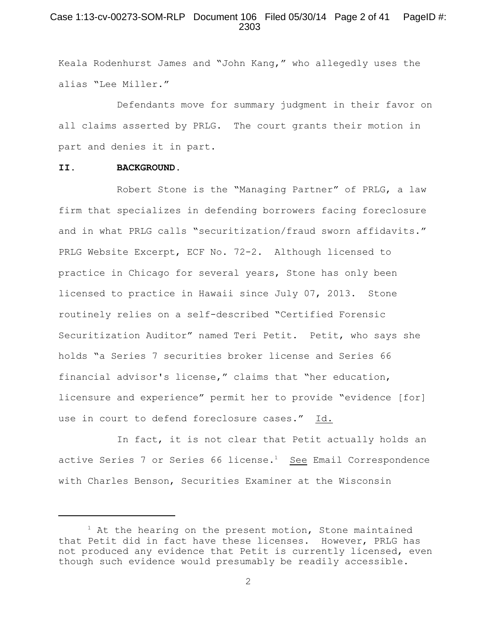# Case 1:13-cv-00273-SOM-RLP Document 106 Filed 05/30/14 Page 2 of 41 PageID #: 2303

Keala Rodenhurst James and "John Kang," who allegedly uses the alias "Lee Miller."

Defendants move for summary judgment in their favor on all claims asserted by PRLG. The court grants their motion in part and denies it in part.

#### **II. BACKGROUND.**

Robert Stone is the "Managing Partner" of PRLG, a law firm that specializes in defending borrowers facing foreclosure and in what PRLG calls "securitization/fraud sworn affidavits." PRLG Website Excerpt, ECF No. 72-2. Although licensed to practice in Chicago for several years, Stone has only been licensed to practice in Hawaii since July 07, 2013. Stone routinely relies on a self-described "Certified Forensic Securitization Auditor" named Teri Petit. Petit, who says she holds "a Series 7 securities broker license and Series 66 financial advisor's license," claims that "her education, licensure and experience" permit her to provide "evidence [for] use in court to defend foreclosure cases." Id.

In fact, it is not clear that Petit actually holds an active Series 7 or Series 66 license.<sup>1</sup> See Email Correspondence with Charles Benson, Securities Examiner at the Wisconsin

 $1$  At the hearing on the present motion, Stone maintained that Petit did in fact have these licenses. However, PRLG has not produced any evidence that Petit is currently licensed, even though such evidence would presumably be readily accessible.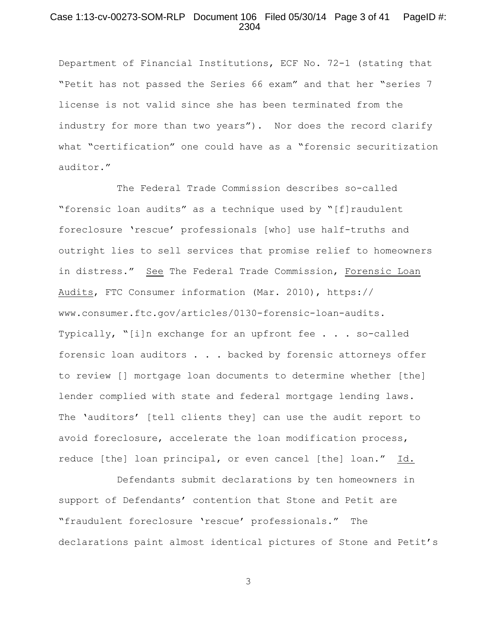# Case 1:13-cv-00273-SOM-RLP Document 106 Filed 05/30/14 Page 3 of 41 PageID #: 2304

Department of Financial Institutions, ECF No. 72-1 (stating that "Petit has not passed the Series 66 exam" and that her "series 7 license is not valid since she has been terminated from the industry for more than two years"). Nor does the record clarify what "certification" one could have as a "forensic securitization auditor."

The Federal Trade Commission describes so-called "forensic loan audits" as a technique used by "[f]raudulent foreclosure 'rescue' professionals [who] use half-truths and outright lies to sell services that promise relief to homeowners in distress." See The Federal Trade Commission, Forensic Loan Audits, FTC Consumer information (Mar. 2010), https:// www.consumer.ftc.gov/articles/0130-forensic-loan-audits. Typically, "[i]n exchange for an upfront fee . . . so-called forensic loan auditors . . . backed by forensic attorneys offer to review [] mortgage loan documents to determine whether [the] lender complied with state and federal mortgage lending laws. The 'auditors' [tell clients they] can use the audit report to avoid foreclosure, accelerate the loan modification process, reduce [the] loan principal, or even cancel [the] loan." Id.

Defendants submit declarations by ten homeowners in support of Defendants' contention that Stone and Petit are "fraudulent foreclosure 'rescue' professionals." The declarations paint almost identical pictures of Stone and Petit's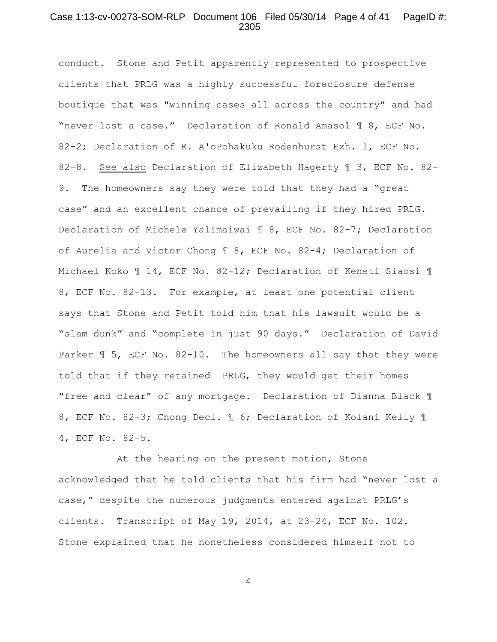### Case 1:13-cv-00273-SOM-RLP Document 106 Filed 05/30/14 Page 4 of 41 PageID #: 2305

conduct. Stone and Petit apparently represented to prospective clients that PRLG was a highly successful foreclosure defense boutique that was "winning cases all across the country" and had "never lost a case." Declaration of Ronald Amasol ¶ 8, ECF No. 82-2; Declaration of R. A'oPohakuku Rodenhurst Exh. 1, ECF No. 82-8. See also Declaration of Elizabeth Hagerty ¶ 3, ECF No. 82- 9. The homeowners say they were told that they had a "great case" and an excellent chance of prevailing if they hired PRLG. Declaration of Michele Yalimaiwai ¶ 8, ECF No. 82-7; Declaration of Aurelia and Victor Chong ¶ 8, ECF No. 82-4; Declaration of Michael Koko ¶ 14, ECF No. 82-12; Declaration of Keneti Siaosi ¶ 8, ECF No. 82-13. For example, at least one potential client says that Stone and Petit told him that his lawsuit would be a "slam dunk" and "complete in just 90 days." Declaration of David Parker ¶ 5, ECF No. 82-10. The homeowners all say that they were told that if they retained PRLG, they would get their homes "free and clear" of any mortgage. Declaration of Dianna Black ¶ 8, ECF No. 82-3; Chong Decl. ¶ 6; Declaration of Kolani Kelly ¶ 4, ECF No. 82-5.

At the hearing on the present motion, Stone acknowledged that he told clients that his firm had "never lost a case," despite the numerous judgments entered against PRLG's clients. Transcript of May 19, 2014, at 23-24, ECF No. 102. Stone explained that he nonetheless considered himself not to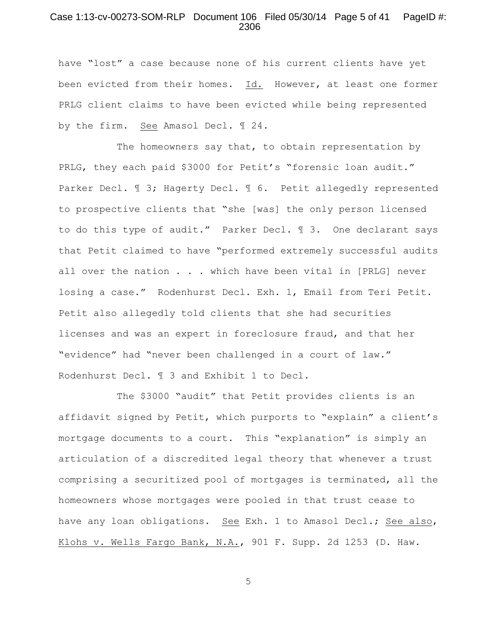### Case 1:13-cv-00273-SOM-RLP Document 106 Filed 05/30/14 Page 5 of 41 PageID #: 2306

have "lost" a case because none of his current clients have yet been evicted from their homes. Id. However, at least one former PRLG client claims to have been evicted while being represented by the firm. See Amasol Decl. ¶ 24.

The homeowners say that, to obtain representation by PRLG, they each paid \$3000 for Petit's "forensic loan audit." Parker Decl. ¶ 3; Hagerty Decl. ¶ 6. Petit allegedly represented to prospective clients that "she [was] the only person licensed to do this type of audit." Parker Decl. ¶ 3. One declarant says that Petit claimed to have "performed extremely successful audits all over the nation . . . which have been vital in [PRLG] never losing a case." Rodenhurst Decl. Exh. 1, Email from Teri Petit. Petit also allegedly told clients that she had securities licenses and was an expert in foreclosure fraud, and that her "evidence" had "never been challenged in a court of law." Rodenhurst Decl. ¶ 3 and Exhibit 1 to Decl.

The \$3000 "audit" that Petit provides clients is an affidavit signed by Petit, which purports to "explain" a client's mortgage documents to a court. This "explanation" is simply an articulation of a discredited legal theory that whenever a trust comprising a securitized pool of mortgages is terminated, all the homeowners whose mortgages were pooled in that trust cease to have any loan obligations. See Exh. 1 to Amasol Decl.; See also, Klohs v. Wells Fargo Bank, N.A., 901 F. Supp. 2d 1253 (D. Haw.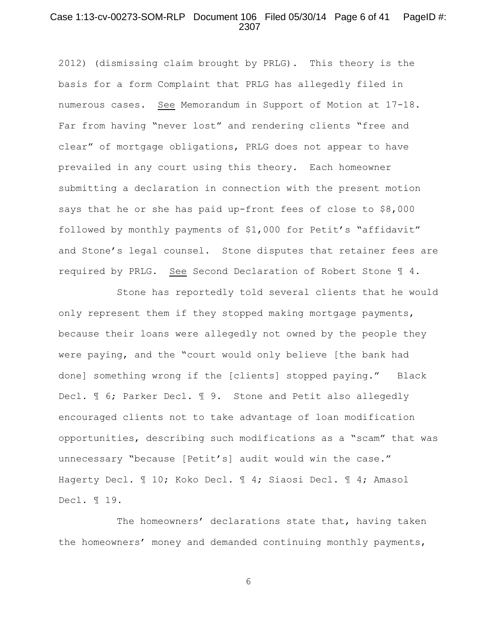#### Case 1:13-cv-00273-SOM-RLP Document 106 Filed 05/30/14 Page 6 of 41 PageID #: 2307

2012) (dismissing claim brought by PRLG). This theory is the basis for a form Complaint that PRLG has allegedly filed in numerous cases. See Memorandum in Support of Motion at 17-18. Far from having "never lost" and rendering clients "free and clear" of mortgage obligations, PRLG does not appear to have prevailed in any court using this theory. Each homeowner submitting a declaration in connection with the present motion says that he or she has paid up-front fees of close to \$8,000 followed by monthly payments of \$1,000 for Petit's "affidavit" and Stone's legal counsel. Stone disputes that retainer fees are required by PRLG. See Second Declaration of Robert Stone ¶ 4.

Stone has reportedly told several clients that he would only represent them if they stopped making mortgage payments, because their loans were allegedly not owned by the people they were paying, and the "court would only believe [the bank had done] something wrong if the [clients] stopped paying." Black Decl. ¶ 6; Parker Decl. ¶ 9. Stone and Petit also allegedly encouraged clients not to take advantage of loan modification opportunities, describing such modifications as a "scam" that was unnecessary "because [Petit's] audit would win the case." Hagerty Decl. 110; Koko Decl. 14; Siaosi Decl. 14; Amasol Decl. ¶ 19.

The homeowners' declarations state that, having taken the homeowners' money and demanded continuing monthly payments,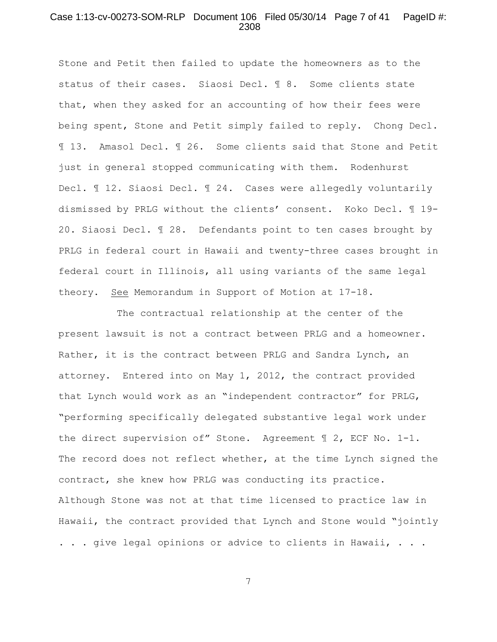### Case 1:13-cv-00273-SOM-RLP Document 106 Filed 05/30/14 Page 7 of 41 PageID #: 2308

Stone and Petit then failed to update the homeowners as to the status of their cases. Siaosi Decl. ¶ 8. Some clients state that, when they asked for an accounting of how their fees were being spent, Stone and Petit simply failed to reply. Chong Decl. ¶ 13. Amasol Decl. ¶ 26. Some clients said that Stone and Petit just in general stopped communicating with them. Rodenhurst Decl.  $\mathbb I$  12. Siaosi Decl.  $\mathbb I$  24. Cases were allegedly voluntarily dismissed by PRLG without the clients' consent. Koko Decl. ¶ 19- 20. Siaosi Decl. ¶ 28. Defendants point to ten cases brought by PRLG in federal court in Hawaii and twenty-three cases brought in federal court in Illinois, all using variants of the same legal theory. See Memorandum in Support of Motion at 17-18.

The contractual relationship at the center of the present lawsuit is not a contract between PRLG and a homeowner. Rather, it is the contract between PRLG and Sandra Lynch, an attorney. Entered into on May 1, 2012, the contract provided that Lynch would work as an "independent contractor" for PRLG, "performing specifically delegated substantive legal work under the direct supervision of" Stone. Agreement ¶ 2, ECF No. 1-1. The record does not reflect whether, at the time Lynch signed the contract, she knew how PRLG was conducting its practice. Although Stone was not at that time licensed to practice law in Hawaii, the contract provided that Lynch and Stone would "jointly . . . give legal opinions or advice to clients in Hawaii, . . .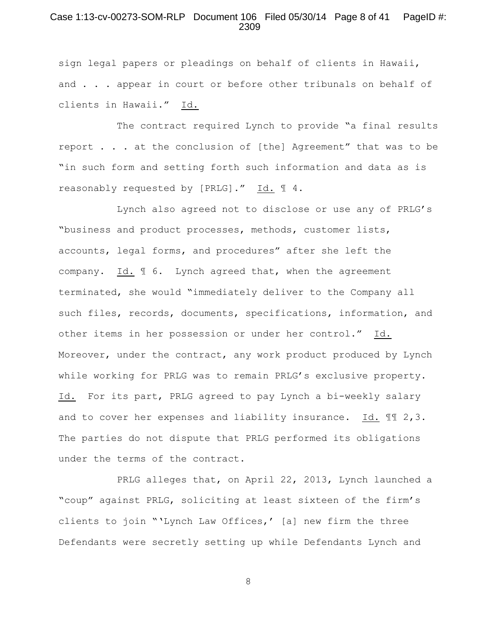# Case 1:13-cv-00273-SOM-RLP Document 106 Filed 05/30/14 Page 8 of 41 PageID #: 2309

sign legal papers or pleadings on behalf of clients in Hawaii, and . . . appear in court or before other tribunals on behalf of clients in Hawaii." Id.

The contract required Lynch to provide "a final results report . . . at the conclusion of [the] Agreement" that was to be "in such form and setting forth such information and data as is reasonably requested by [PRLG]." Id. ¶ 4.

Lynch also agreed not to disclose or use any of PRLG's "business and product processes, methods, customer lists, accounts, legal forms, and procedures" after she left the company. Id. ¶ 6. Lynch agreed that, when the agreement terminated, she would "immediately deliver to the Company all such files, records, documents, specifications, information, and other items in her possession or under her control." Id. Moreover, under the contract, any work product produced by Lynch while working for PRLG was to remain PRLG's exclusive property. Id. For its part, PRLG agreed to pay Lynch a bi-weekly salary and to cover her expenses and liability insurance. Id.  $\mathbb{I}$  2,3. The parties do not dispute that PRLG performed its obligations under the terms of the contract.

PRLG alleges that, on April 22, 2013, Lynch launched a "coup" against PRLG, soliciting at least sixteen of the firm's clients to join "'Lynch Law Offices,' [a] new firm the three Defendants were secretly setting up while Defendants Lynch and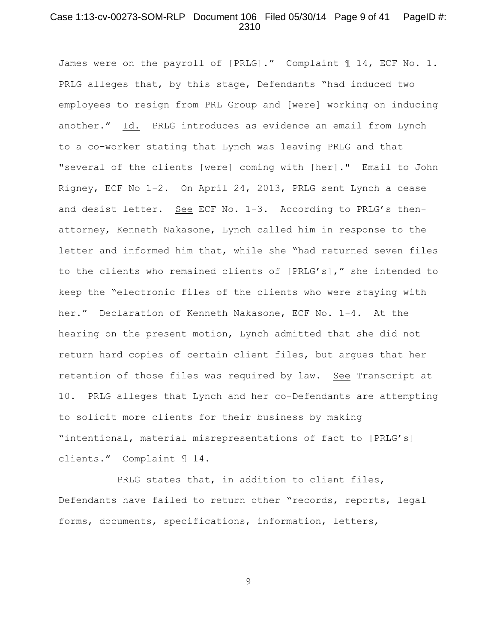# Case 1:13-cv-00273-SOM-RLP Document 106 Filed 05/30/14 Page 9 of 41 PageID #: 2310

James were on the payroll of [PRLG]." Complaint 11, ECF No. 1. PRLG alleges that, by this stage, Defendants "had induced two employees to resign from PRL Group and [were] working on inducing another." Id. PRLG introduces as evidence an email from Lynch to a co-worker stating that Lynch was leaving PRLG and that "several of the clients [were] coming with [her]." Email to John Rigney, ECF No 1-2. On April 24, 2013, PRLG sent Lynch a cease and desist letter. See ECF No. 1-3. According to PRLG's thenattorney, Kenneth Nakasone, Lynch called him in response to the letter and informed him that, while she "had returned seven files to the clients who remained clients of [PRLG's]," she intended to keep the "electronic files of the clients who were staying with her." Declaration of Kenneth Nakasone, ECF No. 1-4. At the hearing on the present motion, Lynch admitted that she did not return hard copies of certain client files, but argues that her retention of those files was required by law. See Transcript at 10. PRLG alleges that Lynch and her co-Defendants are attempting to solicit more clients for their business by making "intentional, material misrepresentations of fact to [PRLG's] clients." Complaint ¶ 14.

PRLG states that, in addition to client files, Defendants have failed to return other "records, reports, legal forms, documents, specifications, information, letters,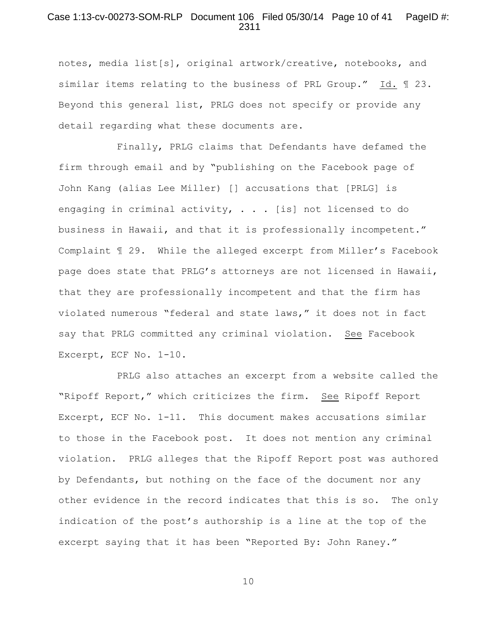# Case 1:13-cv-00273-SOM-RLP Document 106 Filed 05/30/14 Page 10 of 41 PageID #: 2311

notes, media list[s], original artwork/creative, notebooks, and similar items relating to the business of PRL Group." Id. ¶ 23. Beyond this general list, PRLG does not specify or provide any detail regarding what these documents are.

Finally, PRLG claims that Defendants have defamed the firm through email and by "publishing on the Facebook page of John Kang (alias Lee Miller) [] accusations that [PRLG] is engaging in criminal activity,  $\cdot \cdot \cdot$ . [is] not licensed to do business in Hawaii, and that it is professionally incompetent." Complaint ¶ 29. While the alleged excerpt from Miller's Facebook page does state that PRLG's attorneys are not licensed in Hawaii, that they are professionally incompetent and that the firm has violated numerous "federal and state laws," it does not in fact say that PRLG committed any criminal violation. See Facebook Excerpt, ECF No. 1-10.

PRLG also attaches an excerpt from a website called the "Ripoff Report," which criticizes the firm. See Ripoff Report Excerpt, ECF No. 1-11. This document makes accusations similar to those in the Facebook post. It does not mention any criminal violation. PRLG alleges that the Ripoff Report post was authored by Defendants, but nothing on the face of the document nor any other evidence in the record indicates that this is so. The only indication of the post's authorship is a line at the top of the excerpt saying that it has been "Reported By: John Raney."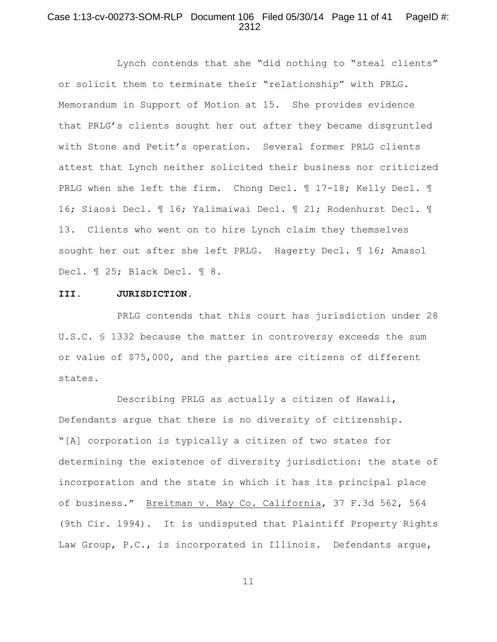# Case 1:13-cv-00273-SOM-RLP Document 106 Filed 05/30/14 Page 11 of 41 PageID #: 2312

Lynch contends that she "did nothing to "steal clients" or solicit them to terminate their "relationship" with PRLG. Memorandum in Support of Motion at 15. She provides evidence that PRLG's clients sought her out after they became disgruntled with Stone and Petit's operation. Several former PRLG clients attest that Lynch neither solicited their business nor criticized PRLG when she left the firm. Chong Decl. 1 17-18; Kelly Decl. 1 16; Siaosi Decl. ¶ 16; Yalimaiwai Decl. ¶ 21; Rodenhurst Decl. ¶ 13. Clients who went on to hire Lynch claim they themselves sought her out after she left PRLG. Hagerty Decl. 16; Amasol Decl. ¶ 25; Black Decl. ¶ 8.

#### **III. JURISDICTION**.

PRLG contends that this court has jurisdiction under 28 U.S.C. § 1332 because the matter in controversy exceeds the sum or value of \$75,000, and the parties are citizens of different states.

Describing PRLG as actually a citizen of Hawaii, Defendants argue that there is no diversity of citizenship. "[A] corporation is typically a citizen of two states for determining the existence of diversity jurisdiction: the state of incorporation and the state in which it has its principal place of business." Breitman v. May Co. California, 37 F.3d 562, 564 (9th Cir. 1994). It is undisputed that Plaintiff Property Rights Law Group, P.C., is incorporated in Illinois. Defendants argue,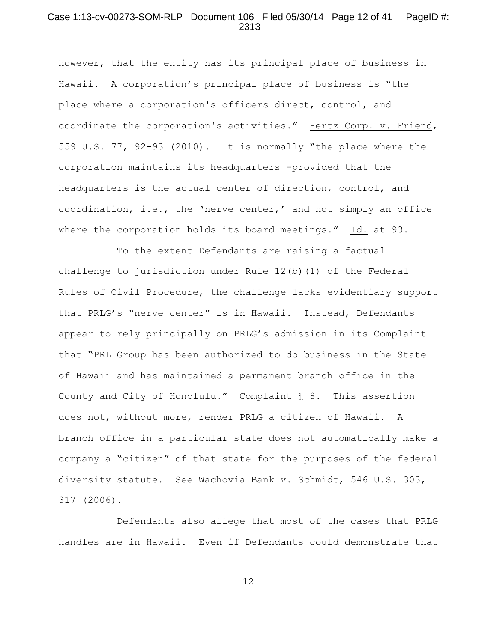### Case 1:13-cv-00273-SOM-RLP Document 106 Filed 05/30/14 Page 12 of 41 PageID #: 2313

however, that the entity has its principal place of business in Hawaii. A corporation's principal place of business is "the place where a corporation's officers direct, control, and coordinate the corporation's activities." Hertz Corp. v. Friend, 559 U.S. 77, 92-93 (2010). It is normally "the place where the corporation maintains its headquarters—-provided that the headquarters is the actual center of direction, control, and coordination, i.e., the 'nerve center,' and not simply an office where the corporation holds its board meetings." Id. at 93.

To the extent Defendants are raising a factual challenge to jurisdiction under Rule 12(b)(1) of the Federal Rules of Civil Procedure, the challenge lacks evidentiary support that PRLG's "nerve center" is in Hawaii. Instead, Defendants appear to rely principally on PRLG's admission in its Complaint that "PRL Group has been authorized to do business in the State of Hawaii and has maintained a permanent branch office in the County and City of Honolulu." Complaint ¶ 8. This assertion does not, without more, render PRLG a citizen of Hawaii. A branch office in a particular state does not automatically make a company a "citizen" of that state for the purposes of the federal diversity statute. See Wachovia Bank v. Schmidt, 546 U.S. 303, 317 (2006).

Defendants also allege that most of the cases that PRLG handles are in Hawaii. Even if Defendants could demonstrate that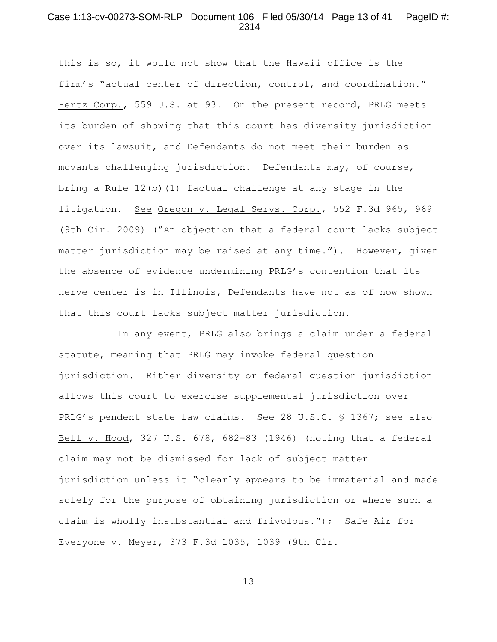## Case 1:13-cv-00273-SOM-RLP Document 106 Filed 05/30/14 Page 13 of 41 PageID #: 2314

this is so, it would not show that the Hawaii office is the firm's "actual center of direction, control, and coordination." Hertz Corp., 559 U.S. at 93. On the present record, PRLG meets its burden of showing that this court has diversity jurisdiction over its lawsuit, and Defendants do not meet their burden as movants challenging jurisdiction. Defendants may, of course, bring a Rule 12(b)(1) factual challenge at any stage in the litigation. See Oregon v. Legal Servs. Corp., 552 F.3d 965, 969 (9th Cir. 2009) ("An objection that a federal court lacks subject matter jurisdiction may be raised at any time."). However, given the absence of evidence undermining PRLG's contention that its nerve center is in Illinois, Defendants have not as of now shown that this court lacks subject matter jurisdiction.

In any event, PRLG also brings a claim under a federal statute, meaning that PRLG may invoke federal question jurisdiction. Either diversity or federal question jurisdiction allows this court to exercise supplemental jurisdiction over PRLG's pendent state law claims. See 28 U.S.C. § 1367; see also Bell v. Hood, 327 U.S. 678, 682-83 (1946) (noting that a federal claim may not be dismissed for lack of subject matter jurisdiction unless it "clearly appears to be immaterial and made solely for the purpose of obtaining jurisdiction or where such a claim is wholly insubstantial and frivolous."); Safe Air for Everyone v. Meyer, 373 F.3d 1035, 1039 (9th Cir.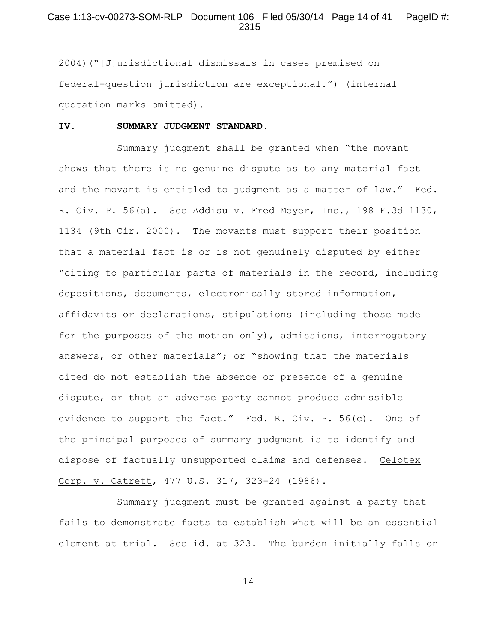# Case 1:13-cv-00273-SOM-RLP Document 106 Filed 05/30/14 Page 14 of 41 PageID #: 2315

2004)("[J]urisdictional dismissals in cases premised on federal-question jurisdiction are exceptional.") (internal quotation marks omitted).

#### **IV. SUMMARY JUDGMENT STANDARD.**

Summary judgment shall be granted when "the movant shows that there is no genuine dispute as to any material fact and the movant is entitled to judgment as a matter of law." Fed. R. Civ. P. 56(a). See Addisu v. Fred Meyer, Inc., 198 F.3d 1130, 1134 (9th Cir. 2000). The movants must support their position that a material fact is or is not genuinely disputed by either "citing to particular parts of materials in the record, including depositions, documents, electronically stored information, affidavits or declarations, stipulations (including those made for the purposes of the motion only), admissions, interrogatory answers, or other materials"; or "showing that the materials cited do not establish the absence or presence of a genuine dispute, or that an adverse party cannot produce admissible evidence to support the fact." Fed. R. Civ. P. 56(c). One of the principal purposes of summary judgment is to identify and dispose of factually unsupported claims and defenses. Celotex Corp. v. Catrett, 477 U.S. 317, 323-24 (1986).

Summary judgment must be granted against a party that fails to demonstrate facts to establish what will be an essential element at trial. See id. at 323. The burden initially falls on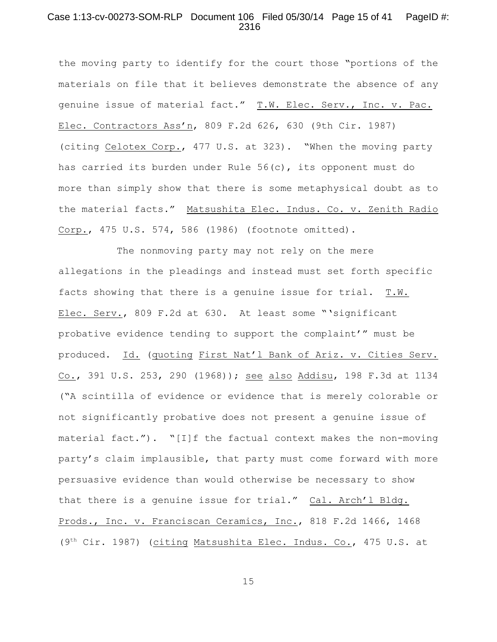# Case 1:13-cv-00273-SOM-RLP Document 106 Filed 05/30/14 Page 15 of 41 PageID #: 2316

the moving party to identify for the court those "portions of the materials on file that it believes demonstrate the absence of any genuine issue of material fact." T.W. Elec. Serv., Inc. v. Pac. Elec. Contractors Ass'n, 809 F.2d 626, 630 (9th Cir. 1987) (citing Celotex Corp., 477 U.S. at 323). "When the moving party has carried its burden under Rule 56(c), its opponent must do more than simply show that there is some metaphysical doubt as to the material facts." Matsushita Elec. Indus. Co. v. Zenith Radio Corp., 475 U.S. 574, 586 (1986) (footnote omitted).

The nonmoving party may not rely on the mere allegations in the pleadings and instead must set forth specific facts showing that there is a genuine issue for trial. T.W. Elec. Serv., 809 F.2d at 630. At least some "'significant probative evidence tending to support the complaint'" must be produced. Id. (quoting First Nat'l Bank of Ariz. v. Cities Serv. Co., 391 U.S. 253, 290 (1968)); see also Addisu, 198 F.3d at 1134 ("A scintilla of evidence or evidence that is merely colorable or not significantly probative does not present a genuine issue of material fact."). "[I]f the factual context makes the non-moving party's claim implausible, that party must come forward with more persuasive evidence than would otherwise be necessary to show that there is a genuine issue for trial." Cal. Arch'l Bldg. Prods., Inc. v. Franciscan Ceramics, Inc., 818 F.2d 1466, 1468 (9<sup>th</sup> Cir. 1987) (citing Matsushita Elec. Indus. Co., 475 U.S. at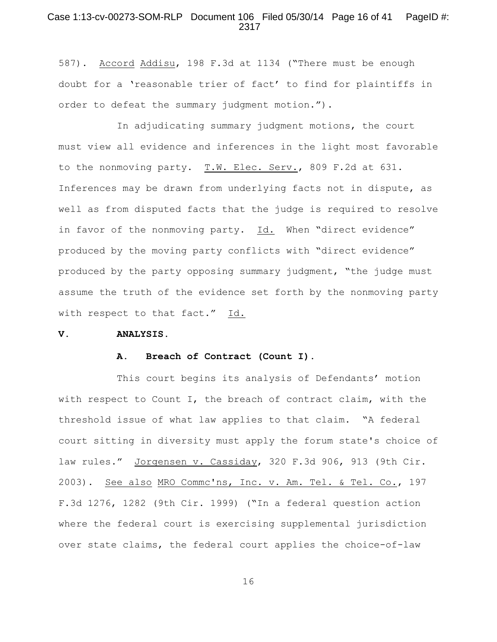#### Case 1:13-cv-00273-SOM-RLP Document 106 Filed 05/30/14 Page 16 of 41 PageID #: 2317

587). Accord Addisu, 198 F.3d at 1134 ("There must be enough doubt for a 'reasonable trier of fact' to find for plaintiffs in order to defeat the summary judgment motion.").

In adjudicating summary judgment motions, the court must view all evidence and inferences in the light most favorable to the nonmoving party. T.W. Elec. Serv., 809 F.2d at 631. Inferences may be drawn from underlying facts not in dispute, as well as from disputed facts that the judge is required to resolve in favor of the nonmoving party. Id. When "direct evidence" produced by the moving party conflicts with "direct evidence" produced by the party opposing summary judgment, "the judge must assume the truth of the evidence set forth by the nonmoving party with respect to that fact." Id.

#### **V. ANALYSIS.**

#### **A. Breach of Contract (Count I).**

This court begins its analysis of Defendants' motion with respect to Count I, the breach of contract claim, with the threshold issue of what law applies to that claim. "A federal court sitting in diversity must apply the forum state's choice of law rules." Jorgensen v. Cassiday, 320 F.3d 906, 913 (9th Cir. 2003). See also MRO Commc'ns, Inc. v. Am. Tel. & Tel. Co., 197 F.3d 1276, 1282 (9th Cir. 1999) ("In a federal question action where the federal court is exercising supplemental jurisdiction over state claims, the federal court applies the choice-of-law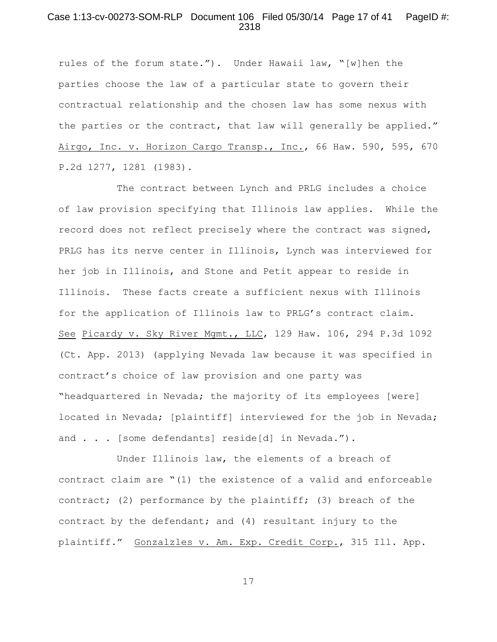# Case 1:13-cv-00273-SOM-RLP Document 106 Filed 05/30/14 Page 17 of 41 PageID #: 2318

rules of the forum state."). Under Hawaii law, "[w]hen the parties choose the law of a particular state to govern their contractual relationship and the chosen law has some nexus with the parties or the contract, that law will generally be applied." Airgo, Inc. v. Horizon Cargo Transp., Inc., 66 Haw. 590, 595, 670 P.2d 1277, 1281 (1983).

The contract between Lynch and PRLG includes a choice of law provision specifying that Illinois law applies. While the record does not reflect precisely where the contract was signed, PRLG has its nerve center in Illinois, Lynch was interviewed for her job in Illinois, and Stone and Petit appear to reside in Illinois. These facts create a sufficient nexus with Illinois for the application of Illinois law to PRLG's contract claim. See Picardy v. Sky River Mgmt., LLC, 129 Haw. 106, 294 P.3d 1092 (Ct. App. 2013) (applying Nevada law because it was specified in contract's choice of law provision and one party was "headquartered in Nevada; the majority of its employees [were] located in Nevada; [plaintiff] interviewed for the job in Nevada; and . . . [some defendants] reside[d] in Nevada.").

Under Illinois law, the elements of a breach of contract claim are "(1) the existence of a valid and enforceable contract; (2) performance by the plaintiff; (3) breach of the contract by the defendant; and (4) resultant injury to the plaintiff." Gonzalzles v. Am. Exp. Credit Corp., 315 Ill. App.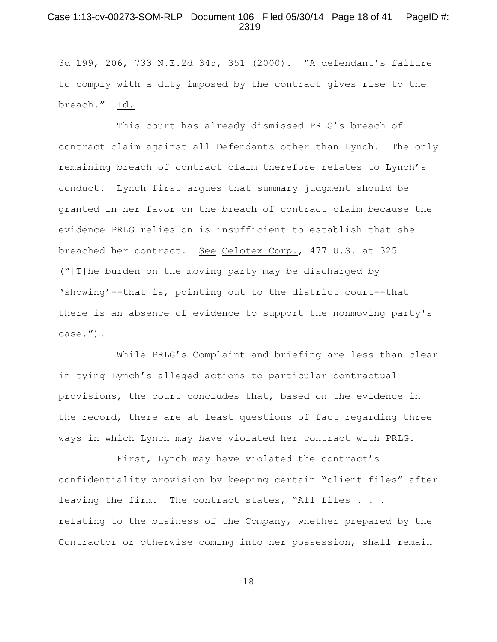#### Case 1:13-cv-00273-SOM-RLP Document 106 Filed 05/30/14 Page 18 of 41 PageID #: 2319

3d 199, 206, 733 N.E.2d 345, 351 (2000). "A defendant's failure to comply with a duty imposed by the contract gives rise to the breach." Id.

This court has already dismissed PRLG's breach of contract claim against all Defendants other than Lynch. The only remaining breach of contract claim therefore relates to Lynch's conduct. Lynch first argues that summary judgment should be granted in her favor on the breach of contract claim because the evidence PRLG relies on is insufficient to establish that she breached her contract. See Celotex Corp., 477 U.S. at 325 ("[T]he burden on the moving party may be discharged by 'showing'--that is, pointing out to the district court--that there is an absence of evidence to support the nonmoving party's case.").

While PRLG's Complaint and briefing are less than clear in tying Lynch's alleged actions to particular contractual provisions, the court concludes that, based on the evidence in the record, there are at least questions of fact regarding three ways in which Lynch may have violated her contract with PRLG.

First, Lynch may have violated the contract's confidentiality provision by keeping certain "client files" after leaving the firm. The contract states, "All files . . . relating to the business of the Company, whether prepared by the Contractor or otherwise coming into her possession, shall remain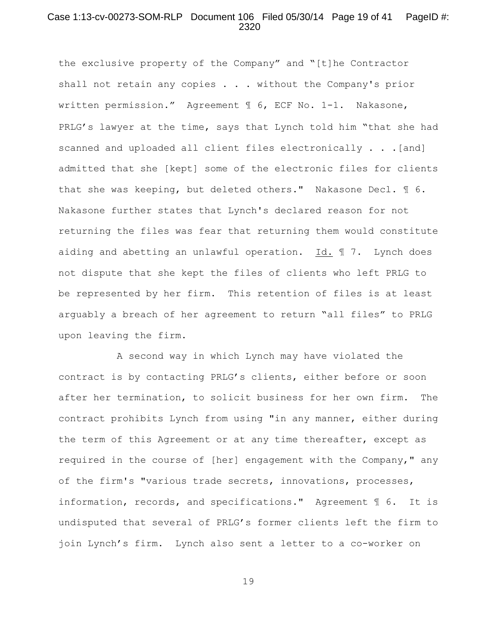### Case 1:13-cv-00273-SOM-RLP Document 106 Filed 05/30/14 Page 19 of 41 PageID #: 2320

the exclusive property of the Company" and "[t]he Contractor shall not retain any copies . . . without the Company's prior written permission." Agreement ¶ 6, ECF No. 1-1. Nakasone, PRLG's lawyer at the time, says that Lynch told him "that she had scanned and uploaded all client files electronically . . .[and] admitted that she [kept] some of the electronic files for clients that she was keeping, but deleted others." Nakasone Decl. ¶ 6. Nakasone further states that Lynch's declared reason for not returning the files was fear that returning them would constitute aiding and abetting an unlawful operation. Id. ¶ 7. Lynch does not dispute that she kept the files of clients who left PRLG to be represented by her firm. This retention of files is at least arguably a breach of her agreement to return "all files" to PRLG upon leaving the firm.

A second way in which Lynch may have violated the contract is by contacting PRLG's clients, either before or soon after her termination, to solicit business for her own firm. The contract prohibits Lynch from using "in any manner, either during the term of this Agreement or at any time thereafter, except as required in the course of [her] engagement with the Company," any of the firm's "various trade secrets, innovations, processes, information, records, and specifications." Agreement ¶ 6. It is undisputed that several of PRLG's former clients left the firm to join Lynch's firm. Lynch also sent a letter to a co-worker on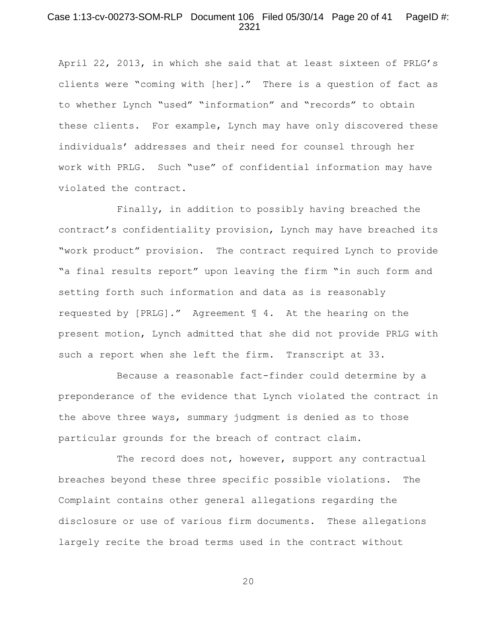## Case 1:13-cv-00273-SOM-RLP Document 106 Filed 05/30/14 Page 20 of 41 PageID #: 2321

April 22, 2013, in which she said that at least sixteen of PRLG's clients were "coming with [her]." There is a question of fact as to whether Lynch "used" "information" and "records" to obtain these clients. For example, Lynch may have only discovered these individuals' addresses and their need for counsel through her work with PRLG. Such "use" of confidential information may have violated the contract.

Finally, in addition to possibly having breached the contract's confidentiality provision, Lynch may have breached its "work product" provision. The contract required Lynch to provide "a final results report" upon leaving the firm "in such form and setting forth such information and data as is reasonably requested by [PRLG]." Agreement ¶ 4. At the hearing on the present motion, Lynch admitted that she did not provide PRLG with such a report when she left the firm. Transcript at 33.

Because a reasonable fact-finder could determine by a preponderance of the evidence that Lynch violated the contract in the above three ways, summary judgment is denied as to those particular grounds for the breach of contract claim.

The record does not, however, support any contractual breaches beyond these three specific possible violations. The Complaint contains other general allegations regarding the disclosure or use of various firm documents. These allegations largely recite the broad terms used in the contract without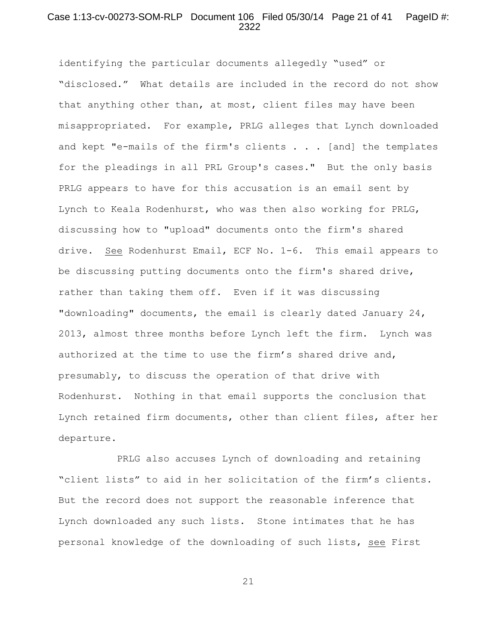# Case 1:13-cv-00273-SOM-RLP Document 106 Filed 05/30/14 Page 21 of 41 PageID #: 2322

identifying the particular documents allegedly "used" or "disclosed." What details are included in the record do not show that anything other than, at most, client files may have been misappropriated. For example, PRLG alleges that Lynch downloaded and kept "e-mails of the firm's clients  $\ldots$  [and] the templates for the pleadings in all PRL Group's cases." But the only basis PRLG appears to have for this accusation is an email sent by Lynch to Keala Rodenhurst, who was then also working for PRLG, discussing how to "upload" documents onto the firm's shared drive. See Rodenhurst Email, ECF No. 1-6. This email appears to be discussing putting documents onto the firm's shared drive, rather than taking them off. Even if it was discussing "downloading" documents, the email is clearly dated January 24, 2013, almost three months before Lynch left the firm. Lynch was authorized at the time to use the firm's shared drive and, presumably, to discuss the operation of that drive with Rodenhurst. Nothing in that email supports the conclusion that Lynch retained firm documents, other than client files, after her departure.

PRLG also accuses Lynch of downloading and retaining "client lists" to aid in her solicitation of the firm's clients. But the record does not support the reasonable inference that Lynch downloaded any such lists. Stone intimates that he has personal knowledge of the downloading of such lists, see First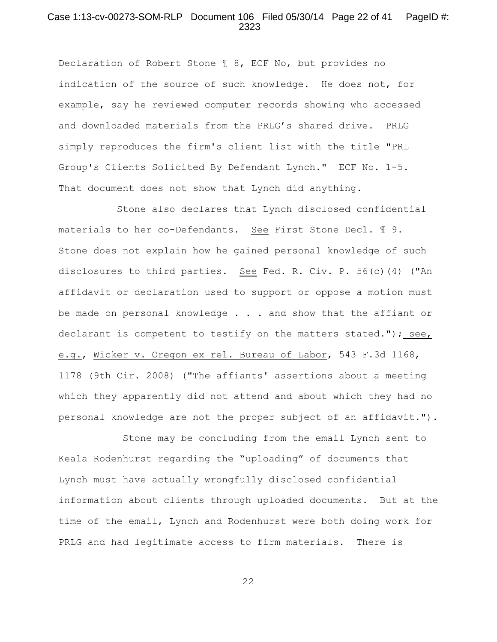#### Case 1:13-cv-00273-SOM-RLP Document 106 Filed 05/30/14 Page 22 of 41 PageID #: 2323

Declaration of Robert Stone ¶ 8, ECF No, but provides no indication of the source of such knowledge. He does not, for example, say he reviewed computer records showing who accessed and downloaded materials from the PRLG's shared drive. PRLG simply reproduces the firm's client list with the title "PRL Group's Clients Solicited By Defendant Lynch." ECF No. 1-5. That document does not show that Lynch did anything.

Stone also declares that Lynch disclosed confidential materials to her co-Defendants. See First Stone Decl. 19. Stone does not explain how he gained personal knowledge of such disclosures to third parties. See Fed. R. Civ. P. 56(c)(4) ("An affidavit or declaration used to support or oppose a motion must be made on personal knowledge . . . and show that the affiant or declarant is competent to testify on the matters stated."); see, e.g., Wicker v. Oregon ex rel. Bureau of Labor, 543 F.3d 1168, 1178 (9th Cir. 2008) ("The affiants' assertions about a meeting which they apparently did not attend and about which they had no personal knowledge are not the proper subject of an affidavit.").

 Stone may be concluding from the email Lynch sent to Keala Rodenhurst regarding the "uploading" of documents that Lynch must have actually wrongfully disclosed confidential information about clients through uploaded documents. But at the time of the email, Lynch and Rodenhurst were both doing work for PRLG and had legitimate access to firm materials. There is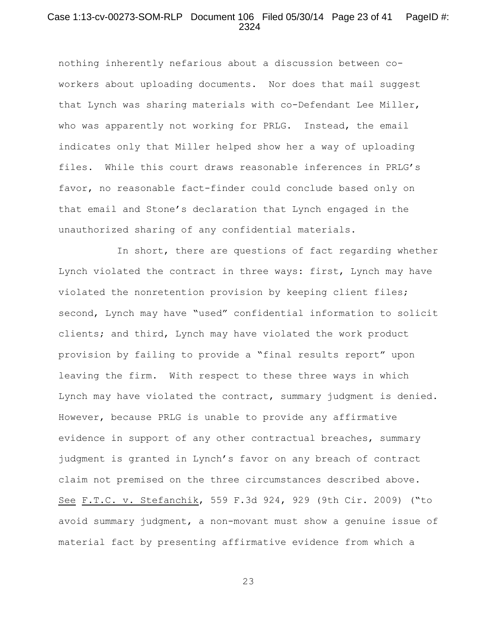### Case 1:13-cv-00273-SOM-RLP Document 106 Filed 05/30/14 Page 23 of 41 PageID #: 2324

nothing inherently nefarious about a discussion between coworkers about uploading documents. Nor does that mail suggest that Lynch was sharing materials with co-Defendant Lee Miller, who was apparently not working for PRLG. Instead, the email indicates only that Miller helped show her a way of uploading files. While this court draws reasonable inferences in PRLG's favor, no reasonable fact-finder could conclude based only on that email and Stone's declaration that Lynch engaged in the unauthorized sharing of any confidential materials.

In short, there are questions of fact regarding whether Lynch violated the contract in three ways: first, Lynch may have violated the nonretention provision by keeping client files; second, Lynch may have "used" confidential information to solicit clients; and third, Lynch may have violated the work product provision by failing to provide a "final results report" upon leaving the firm. With respect to these three ways in which Lynch may have violated the contract, summary judgment is denied. However, because PRLG is unable to provide any affirmative evidence in support of any other contractual breaches, summary judgment is granted in Lynch's favor on any breach of contract claim not premised on the three circumstances described above. See F.T.C. v. Stefanchik, 559 F.3d 924, 929 (9th Cir. 2009) ("to avoid summary judgment, a non-movant must show a genuine issue of material fact by presenting affirmative evidence from which a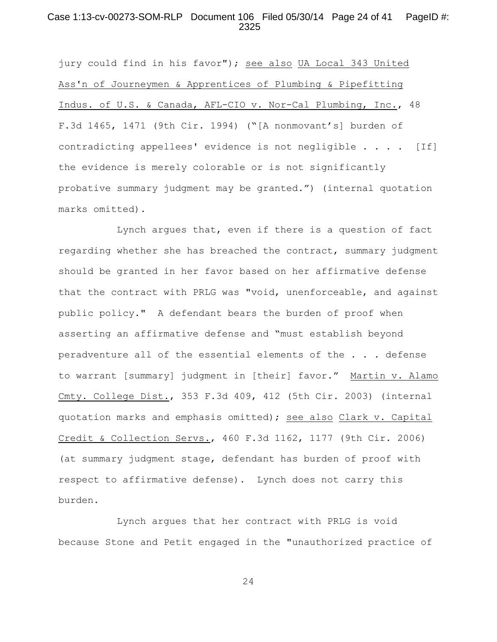#### Case 1:13-cv-00273-SOM-RLP Document 106 Filed 05/30/14 Page 24 of 41 PageID #: 2325

jury could find in his favor"); see also UA Local 343 United Ass'n of Journeymen & Apprentices of Plumbing & Pipefitting Indus. of U.S. & Canada, AFL-CIO v. Nor-Cal Plumbing, Inc., 48 F.3d 1465, 1471 (9th Cir. 1994) ("[A nonmovant's] burden of contradicting appellees' evidence is not negligible . . . . [If] the evidence is merely colorable or is not significantly probative summary judgment may be granted.") (internal quotation marks omitted).

Lynch argues that, even if there is a question of fact regarding whether she has breached the contract, summary judgment should be granted in her favor based on her affirmative defense that the contract with PRLG was "void, unenforceable, and against public policy." A defendant bears the burden of proof when asserting an affirmative defense and "must establish beyond peradventure all of the essential elements of the . . . defense to warrant [summary] judgment in [their] favor." Martin v. Alamo Cmty. College Dist., 353 F.3d 409, 412 (5th Cir. 2003) (internal quotation marks and emphasis omitted); see also Clark v. Capital Credit & Collection Servs., 460 F.3d 1162, 1177 (9th Cir. 2006) (at summary judgment stage, defendant has burden of proof with respect to affirmative defense). Lynch does not carry this burden.

Lynch argues that her contract with PRLG is void because Stone and Petit engaged in the "unauthorized practice of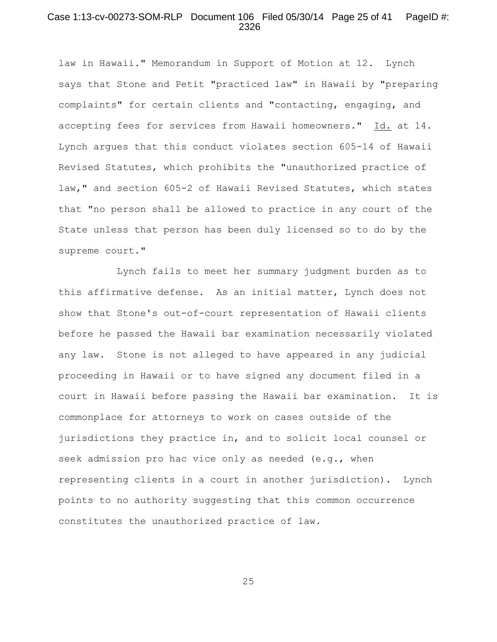### Case 1:13-cv-00273-SOM-RLP Document 106 Filed 05/30/14 Page 25 of 41 PageID #: 2326

law in Hawaii." Memorandum in Support of Motion at 12. Lynch says that Stone and Petit "practiced law" in Hawaii by "preparing complaints" for certain clients and "contacting, engaging, and accepting fees for services from Hawaii homeowners." Id. at 14. Lynch argues that this conduct violates section 605-14 of Hawaii Revised Statutes, which prohibits the "unauthorized practice of law," and section 605-2 of Hawaii Revised Statutes, which states that "no person shall be allowed to practice in any court of the State unless that person has been duly licensed so to do by the supreme court."

Lynch fails to meet her summary judgment burden as to this affirmative defense. As an initial matter, Lynch does not show that Stone's out-of-court representation of Hawaii clients before he passed the Hawaii bar examination necessarily violated any law. Stone is not alleged to have appeared in any judicial proceeding in Hawaii or to have signed any document filed in a court in Hawaii before passing the Hawaii bar examination. It is commonplace for attorneys to work on cases outside of the jurisdictions they practice in, and to solicit local counsel or seek admission pro hac vice only as needed (e.g., when representing clients in a court in another jurisdiction). Lynch points to no authority suggesting that this common occurrence constitutes the unauthorized practice of law.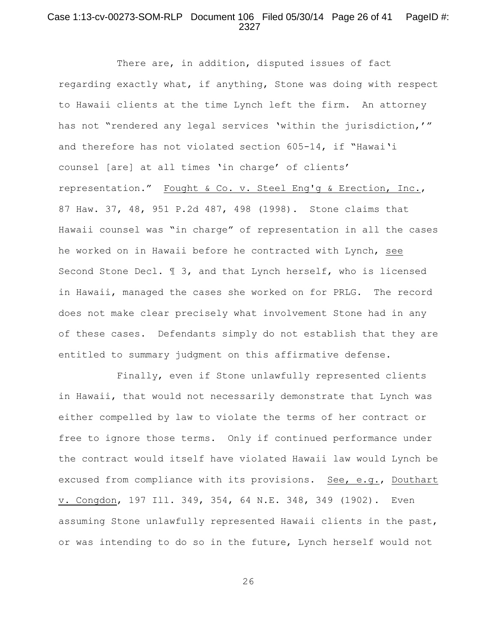# Case 1:13-cv-00273-SOM-RLP Document 106 Filed 05/30/14 Page 26 of 41 PageID #: 2327

There are, in addition, disputed issues of fact regarding exactly what, if anything, Stone was doing with respect to Hawaii clients at the time Lynch left the firm. An attorney has not "rendered any legal services 'within the jurisdiction,'" and therefore has not violated section 605-14, if "Hawai'i counsel [are] at all times 'in charge' of clients' representation." Fought & Co. v. Steel Eng'g & Erection, Inc., 87 Haw. 37, 48, 951 P.2d 487, 498 (1998). Stone claims that Hawaii counsel was "in charge" of representation in all the cases he worked on in Hawaii before he contracted with Lynch, see Second Stone Decl. ¶ 3, and that Lynch herself, who is licensed in Hawaii, managed the cases she worked on for PRLG. The record does not make clear precisely what involvement Stone had in any of these cases. Defendants simply do not establish that they are entitled to summary judgment on this affirmative defense.

Finally, even if Stone unlawfully represented clients in Hawaii, that would not necessarily demonstrate that Lynch was either compelled by law to violate the terms of her contract or free to ignore those terms. Only if continued performance under the contract would itself have violated Hawaii law would Lynch be excused from compliance with its provisions. See, e.g., Douthart v. Congdon, 197 Ill. 349, 354, 64 N.E. 348, 349 (1902). Even assuming Stone unlawfully represented Hawaii clients in the past, or was intending to do so in the future, Lynch herself would not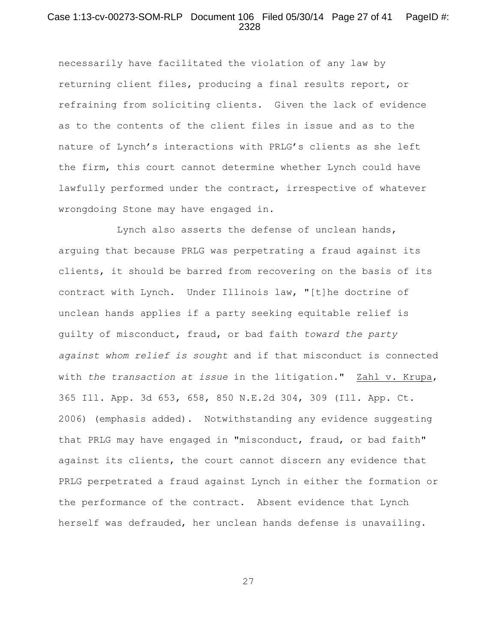### Case 1:13-cv-00273-SOM-RLP Document 106 Filed 05/30/14 Page 27 of 41 PageID #: 2328

necessarily have facilitated the violation of any law by returning client files, producing a final results report, or refraining from soliciting clients. Given the lack of evidence as to the contents of the client files in issue and as to the nature of Lynch's interactions with PRLG's clients as she left the firm, this court cannot determine whether Lynch could have lawfully performed under the contract, irrespective of whatever wrongdoing Stone may have engaged in.

Lynch also asserts the defense of unclean hands, arguing that because PRLG was perpetrating a fraud against its clients, it should be barred from recovering on the basis of its contract with Lynch. Under Illinois law, "[t]he doctrine of unclean hands applies if a party seeking equitable relief is guilty of misconduct, fraud, or bad faith *toward the party against whom relief is sought* and if that misconduct is connected with *the transaction at issue* in the litigation." Zahl v. Krupa, 365 Ill. App. 3d 653, 658, 850 N.E.2d 304, 309 (Ill. App. Ct. 2006) (emphasis added). Notwithstanding any evidence suggesting that PRLG may have engaged in "misconduct, fraud, or bad faith" against its clients, the court cannot discern any evidence that PRLG perpetrated a fraud against Lynch in either the formation or the performance of the contract. Absent evidence that Lynch herself was defrauded, her unclean hands defense is unavailing.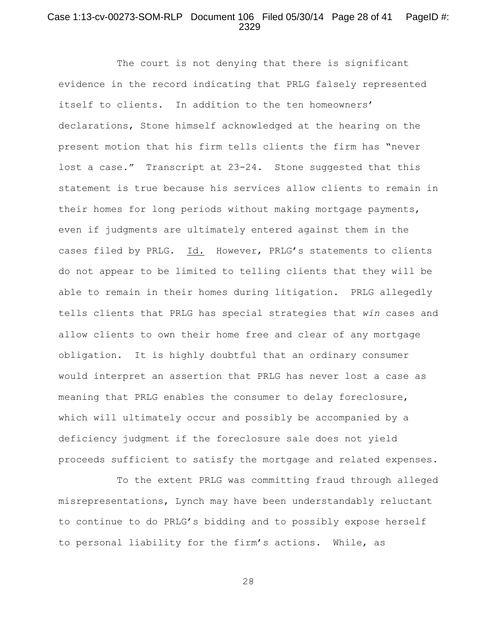# Case 1:13-cv-00273-SOM-RLP Document 106 Filed 05/30/14 Page 28 of 41 PageID #: 2329

The court is not denying that there is significant evidence in the record indicating that PRLG falsely represented itself to clients. In addition to the ten homeowners' declarations, Stone himself acknowledged at the hearing on the present motion that his firm tells clients the firm has "never lost a case." Transcript at 23-24. Stone suggested that this statement is true because his services allow clients to remain in their homes for long periods without making mortgage payments, even if judgments are ultimately entered against them in the cases filed by PRLG. Id. However, PRLG's statements to clients do not appear to be limited to telling clients that they will be able to remain in their homes during litigation. PRLG allegedly tells clients that PRLG has special strategies that *win* cases and allow clients to own their home free and clear of any mortgage obligation. It is highly doubtful that an ordinary consumer would interpret an assertion that PRLG has never lost a case as meaning that PRLG enables the consumer to delay foreclosure, which will ultimately occur and possibly be accompanied by a deficiency judgment if the foreclosure sale does not yield proceeds sufficient to satisfy the mortgage and related expenses.

To the extent PRLG was committing fraud through alleged misrepresentations, Lynch may have been understandably reluctant to continue to do PRLG's bidding and to possibly expose herself to personal liability for the firm's actions. While, as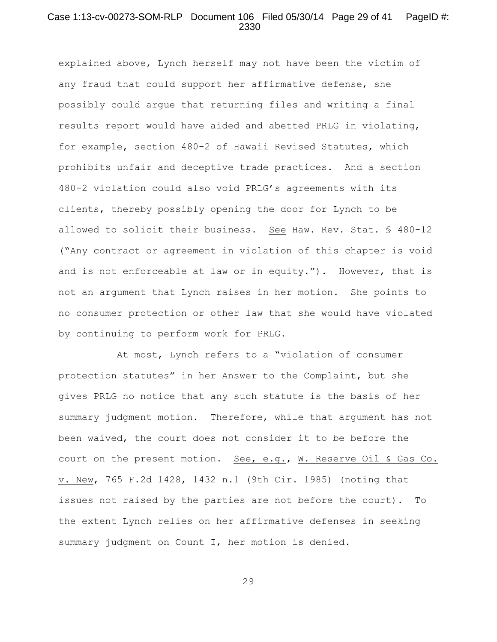### Case 1:13-cv-00273-SOM-RLP Document 106 Filed 05/30/14 Page 29 of 41 PageID #: 2330

explained above, Lynch herself may not have been the victim of any fraud that could support her affirmative defense, she possibly could argue that returning files and writing a final results report would have aided and abetted PRLG in violating, for example, section 480-2 of Hawaii Revised Statutes, which prohibits unfair and deceptive trade practices. And a section 480-2 violation could also void PRLG's agreements with its clients, thereby possibly opening the door for Lynch to be allowed to solicit their business. See Haw. Rev. Stat. § 480-12 ("Any contract or agreement in violation of this chapter is void and is not enforceable at law or in equity."). However, that is not an argument that Lynch raises in her motion. She points to no consumer protection or other law that she would have violated by continuing to perform work for PRLG.

At most, Lynch refers to a "violation of consumer protection statutes" in her Answer to the Complaint, but she gives PRLG no notice that any such statute is the basis of her summary judgment motion. Therefore, while that argument has not been waived, the court does not consider it to be before the court on the present motion. See, e.g., W. Reserve Oil & Gas Co. v. New, 765 F.2d 1428, 1432 n.1 (9th Cir. 1985) (noting that issues not raised by the parties are not before the court). To the extent Lynch relies on her affirmative defenses in seeking summary judgment on Count I, her motion is denied.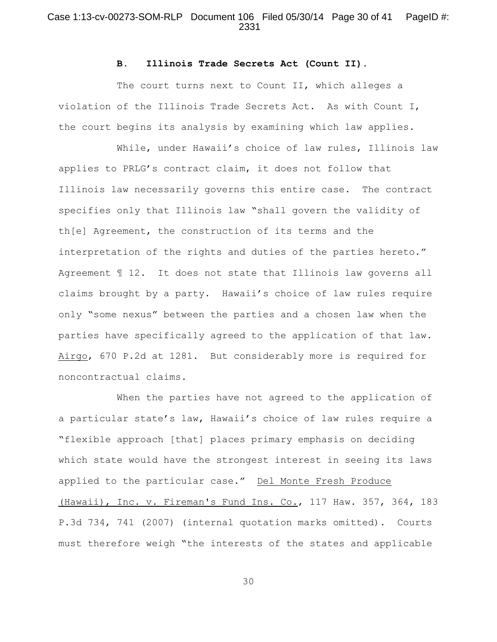# Case 1:13-cv-00273-SOM-RLP Document 106 Filed 05/30/14 Page 30 of 41 PageID #: 2331

#### **B. Illinois Trade Secrets Act (Count II).**

The court turns next to Count II, which alleges a violation of the Illinois Trade Secrets Act. As with Count I, the court begins its analysis by examining which law applies.

While, under Hawaii's choice of law rules, Illinois law applies to PRLG's contract claim, it does not follow that Illinois law necessarily governs this entire case. The contract specifies only that Illinois law "shall govern the validity of th[e] Agreement, the construction of its terms and the interpretation of the rights and duties of the parties hereto." Agreement ¶ 12. It does not state that Illinois law governs all claims brought by a party. Hawaii's choice of law rules require only "some nexus" between the parties and a chosen law when the parties have specifically agreed to the application of that law. Airgo, 670 P.2d at 1281. But considerably more is required for noncontractual claims.

When the parties have not agreed to the application of a particular state's law, Hawaii's choice of law rules require a "flexible approach [that] places primary emphasis on deciding which state would have the strongest interest in seeing its laws applied to the particular case." Del Monte Fresh Produce (Hawaii), Inc. v. Fireman's Fund Ins. Co., 117 Haw. 357, 364, 183 P.3d 734, 741 (2007) (internal quotation marks omitted). Courts must therefore weigh "the interests of the states and applicable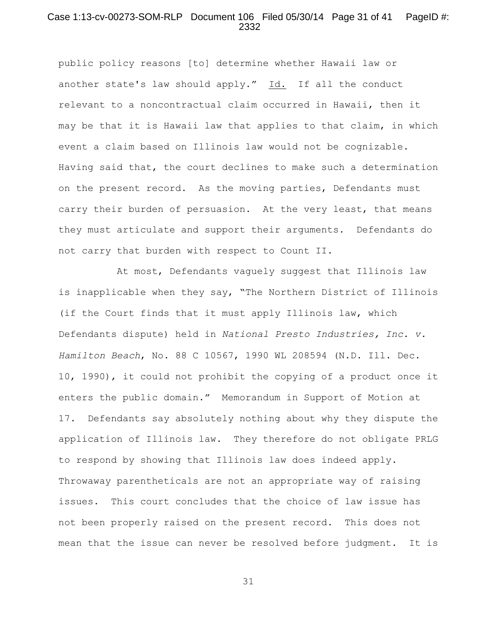## Case 1:13-cv-00273-SOM-RLP Document 106 Filed 05/30/14 Page 31 of 41 PageID #: 2332

public policy reasons [to] determine whether Hawaii law or another state's law should apply." Id. If all the conduct relevant to a noncontractual claim occurred in Hawaii, then it may be that it is Hawaii law that applies to that claim, in which event a claim based on Illinois law would not be cognizable. Having said that, the court declines to make such a determination on the present record. As the moving parties, Defendants must carry their burden of persuasion. At the very least, that means they must articulate and support their arguments. Defendants do not carry that burden with respect to Count II.

At most, Defendants vaguely suggest that Illinois law is inapplicable when they say, "The Northern District of Illinois (if the Court finds that it must apply Illinois law, which Defendants dispute) held in *National Presto Industries, Inc. v. Hamilton Beach*, No. 88 C 10567, 1990 WL 208594 (N.D. Ill. Dec. 10, 1990), it could not prohibit the copying of a product once it enters the public domain." Memorandum in Support of Motion at 17. Defendants say absolutely nothing about why they dispute the application of Illinois law. They therefore do not obligate PRLG to respond by showing that Illinois law does indeed apply. Throwaway parentheticals are not an appropriate way of raising issues. This court concludes that the choice of law issue has not been properly raised on the present record. This does not mean that the issue can never be resolved before judgment. It is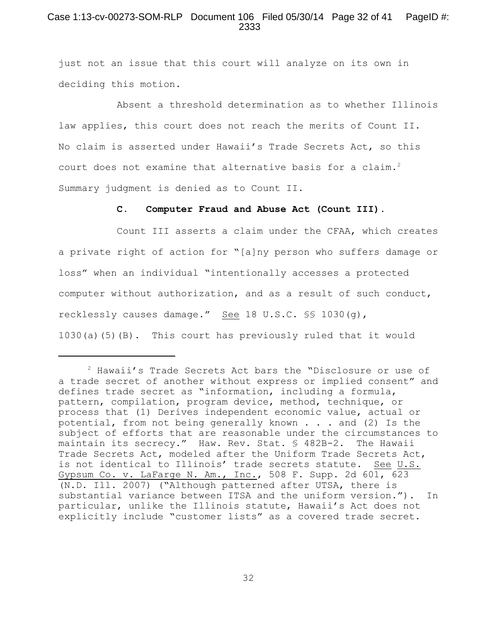# Case 1:13-cv-00273-SOM-RLP Document 106 Filed 05/30/14 Page 32 of 41 PageID #: 2333

just not an issue that this court will analyze on its own in deciding this motion.

Absent a threshold determination as to whether Illinois law applies, this court does not reach the merits of Count II. No claim is asserted under Hawaii's Trade Secrets Act, so this court does not examine that alternative basis for a claim.<sup>2</sup> Summary judgment is denied as to Count II.

#### **C. Computer Fraud and Abuse Act (Count III).**

Count III asserts a claim under the CFAA, which creates a private right of action for "[a]ny person who suffers damage or loss" when an individual "intentionally accesses a protected computer without authorization, and as a result of such conduct, recklessly causes damage." See 18 U.S.C. §§ 1030(g), 1030(a)(5)(B). This court has previously ruled that it would

 $2$  Hawaii's Trade Secrets Act bars the "Disclosure or use of a trade secret of another without express or implied consent" and defines trade secret as "information, including a formula, pattern, compilation, program device, method, technique, or process that (1) Derives independent economic value, actual or potential, from not being generally known . . . and (2) Is the subject of efforts that are reasonable under the circumstances to maintain its secrecy." Haw. Rev. Stat. § 482B-2. The Hawaii Trade Secrets Act, modeled after the Uniform Trade Secrets Act, is not identical to Illinois' trade secrets statute. See U.S. Gypsum Co. v. LaFarge N. Am., Inc., 508 F. Supp. 2d 601, 623 (N.D. Ill. 2007) ("Although patterned after UTSA, there is substantial variance between ITSA and the uniform version."). In particular, unlike the Illinois statute, Hawaii's Act does not explicitly include "customer lists" as a covered trade secret.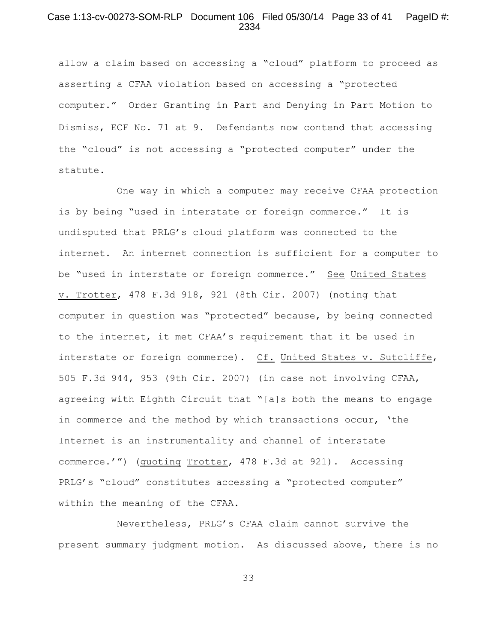### Case 1:13-cv-00273-SOM-RLP Document 106 Filed 05/30/14 Page 33 of 41 PageID #: 2334

allow a claim based on accessing a "cloud" platform to proceed as asserting a CFAA violation based on accessing a "protected computer." Order Granting in Part and Denying in Part Motion to Dismiss, ECF No. 71 at 9**.** Defendants now contend that accessing the "cloud" is not accessing a "protected computer" under the statute.

One way in which a computer may receive CFAA protection is by being "used in interstate or foreign commerce." It is undisputed that PRLG's cloud platform was connected to the internet. An internet connection is sufficient for a computer to be "used in interstate or foreign commerce." See United States v. Trotter, 478 F.3d 918, 921 (8th Cir. 2007) (noting that computer in question was "protected" because, by being connected to the internet, it met CFAA's requirement that it be used in interstate or foreign commerce). Cf. United States v. Sutcliffe, 505 F.3d 944, 953 (9th Cir. 2007) (in case not involving CFAA, agreeing with Eighth Circuit that "[a]s both the means to engage in commerce and the method by which transactions occur, 'the Internet is an instrumentality and channel of interstate commerce.'") (quoting Trotter, 478 F.3d at 921). Accessing PRLG's "cloud" constitutes accessing a "protected computer" within the meaning of the CFAA.

Nevertheless, PRLG's CFAA claim cannot survive the present summary judgment motion. As discussed above, there is no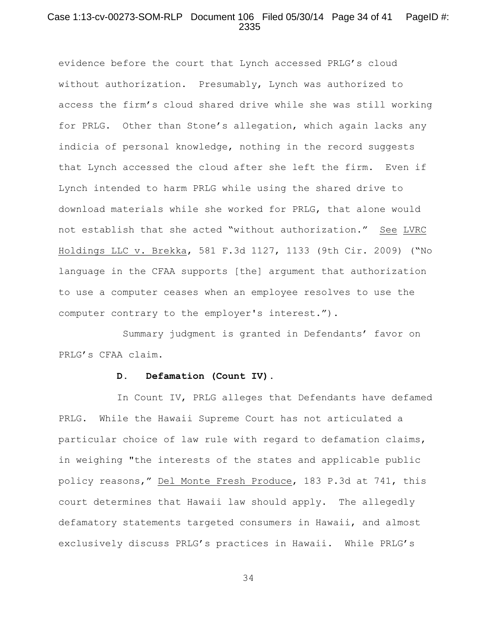### Case 1:13-cv-00273-SOM-RLP Document 106 Filed 05/30/14 Page 34 of 41 PageID #: 2335

evidence before the court that Lynch accessed PRLG's cloud without authorization. Presumably, Lynch was authorized to access the firm's cloud shared drive while she was still working for PRLG. Other than Stone's allegation, which again lacks any indicia of personal knowledge, nothing in the record suggests that Lynch accessed the cloud after she left the firm. Even if Lynch intended to harm PRLG while using the shared drive to download materials while she worked for PRLG, that alone would not establish that she acted "without authorization." See LVRC Holdings LLC v. Brekka, 581 F.3d 1127, 1133 (9th Cir. 2009) ("No language in the CFAA supports [the] argument that authorization to use a computer ceases when an employee resolves to use the computer contrary to the employer's interest.").

 Summary judgment is granted in Defendants' favor on PRLG's CFAA claim.

#### **D. Defamation (Count IV).**

In Count IV, PRLG alleges that Defendants have defamed PRLG. While the Hawaii Supreme Court has not articulated a particular choice of law rule with regard to defamation claims, in weighing "the interests of the states and applicable public policy reasons," Del Monte Fresh Produce, 183 P.3d at 741, this court determines that Hawaii law should apply. The allegedly defamatory statements targeted consumers in Hawaii, and almost exclusively discuss PRLG's practices in Hawaii. While PRLG's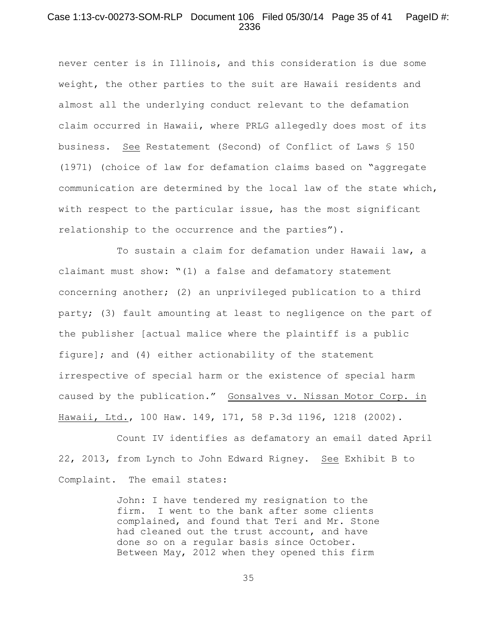# Case 1:13-cv-00273-SOM-RLP Document 106 Filed 05/30/14 Page 35 of 41 PageID #: 2336

never center is in Illinois, and this consideration is due some weight, the other parties to the suit are Hawaii residents and almost all the underlying conduct relevant to the defamation claim occurred in Hawaii, where PRLG allegedly does most of its business. See Restatement (Second) of Conflict of Laws § 150 (1971) (choice of law for defamation claims based on "aggregate communication are determined by the local law of the state which, with respect to the particular issue, has the most significant relationship to the occurrence and the parties").

To sustain a claim for defamation under Hawaii law, a claimant must show: "(1) a false and defamatory statement concerning another; (2) an unprivileged publication to a third party; (3) fault amounting at least to negligence on the part of the publisher [actual malice where the plaintiff is a public figure]; and (4) either actionability of the statement irrespective of special harm or the existence of special harm caused by the publication." Gonsalves v. Nissan Motor Corp. in Hawaii, Ltd., 100 Haw. 149, 171, 58 P.3d 1196, 1218 (2002).

Count IV identifies as defamatory an email dated April 22, 2013, from Lynch to John Edward Rigney. See Exhibit B to Complaint. The email states:

> John: I have tendered my resignation to the firm. I went to the bank after some clients complained, and found that Teri and Mr. Stone had cleaned out the trust account, and have done so on a regular basis since October. Between May, 2012 when they opened this firm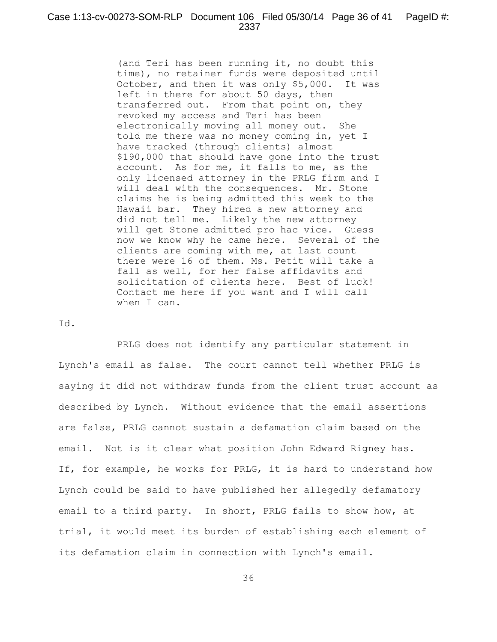(and Teri has been running it, no doubt this time), no retainer funds were deposited until October, and then it was only \$5,000. It was left in there for about 50 days, then transferred out. From that point on, they revoked my access and Teri has been electronically moving all money out. She told me there was no money coming in, yet I have tracked (through clients) almost \$190,000 that should have gone into the trust account. As for me, it falls to me, as the only licensed attorney in the PRLG firm and I will deal with the consequences. Mr. Stone claims he is being admitted this week to the Hawaii bar. They hired a new attorney and did not tell me. Likely the new attorney will get Stone admitted pro hac vice. Guess now we know why he came here. Several of the clients are coming with me, at last count there were 16 of them. Ms. Petit will take a fall as well, for her false affidavits and solicitation of clients here. Best of luck! Contact me here if you want and I will call when I can.

#### Id.

PRLG does not identify any particular statement in Lynch's email as false. The court cannot tell whether PRLG is saying it did not withdraw funds from the client trust account as described by Lynch. Without evidence that the email assertions are false, PRLG cannot sustain a defamation claim based on the email. Not is it clear what position John Edward Rigney has. If, for example, he works for PRLG, it is hard to understand how Lynch could be said to have published her allegedly defamatory email to a third party. In short, PRLG fails to show how, at trial, it would meet its burden of establishing each element of its defamation claim in connection with Lynch's email.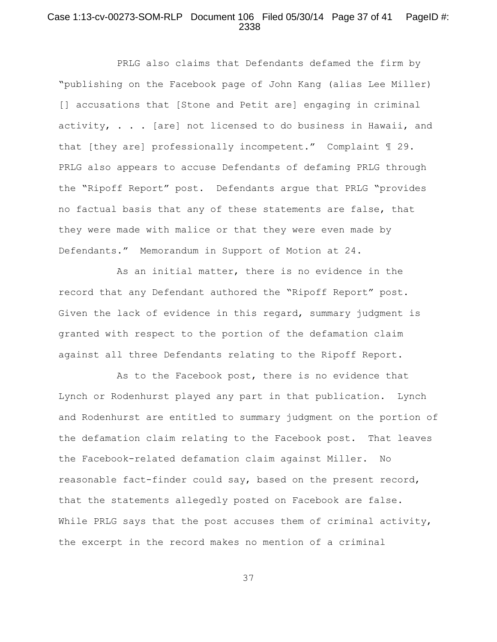## Case 1:13-cv-00273-SOM-RLP Document 106 Filed 05/30/14 Page 37 of 41 PageID #: 2338

PRLG also claims that Defendants defamed the firm by "publishing on the Facebook page of John Kang (alias Lee Miller) [] accusations that [Stone and Petit are] engaging in criminal activity, . . . [are] not licensed to do business in Hawaii, and that [they are] professionally incompetent." Complaint ¶ 29. PRLG also appears to accuse Defendants of defaming PRLG through the "Ripoff Report" post. Defendants argue that PRLG "provides no factual basis that any of these statements are false, that they were made with malice or that they were even made by Defendants." Memorandum in Support of Motion at 24.

As an initial matter, there is no evidence in the record that any Defendant authored the "Ripoff Report" post. Given the lack of evidence in this regard, summary judgment is granted with respect to the portion of the defamation claim against all three Defendants relating to the Ripoff Report.

As to the Facebook post, there is no evidence that Lynch or Rodenhurst played any part in that publication. Lynch and Rodenhurst are entitled to summary judgment on the portion of the defamation claim relating to the Facebook post. That leaves the Facebook-related defamation claim against Miller. No reasonable fact-finder could say, based on the present record, that the statements allegedly posted on Facebook are false. While PRLG says that the post accuses them of criminal activity, the excerpt in the record makes no mention of a criminal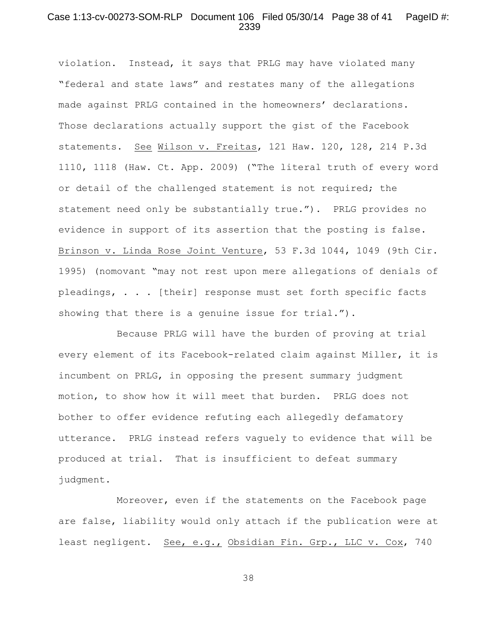### Case 1:13-cv-00273-SOM-RLP Document 106 Filed 05/30/14 Page 38 of 41 PageID #: 2339

violation. Instead, it says that PRLG may have violated many "federal and state laws" and restates many of the allegations made against PRLG contained in the homeowners' declarations. Those declarations actually support the gist of the Facebook statements. See Wilson v. Freitas, 121 Haw. 120, 128, 214 P.3d 1110, 1118 (Haw. Ct. App. 2009) ("The literal truth of every word or detail of the challenged statement is not required; the statement need only be substantially true."). PRLG provides no evidence in support of its assertion that the posting is false. Brinson v. Linda Rose Joint Venture, 53 F.3d 1044, 1049 (9th Cir. 1995) (nomovant "may not rest upon mere allegations of denials of pleadings, . . . [their] response must set forth specific facts showing that there is a genuine issue for trial.").

Because PRLG will have the burden of proving at trial every element of its Facebook-related claim against Miller, it is incumbent on PRLG, in opposing the present summary judgment motion, to show how it will meet that burden. PRLG does not bother to offer evidence refuting each allegedly defamatory utterance. PRLG instead refers vaguely to evidence that will be produced at trial. That is insufficient to defeat summary judgment.

Moreover, even if the statements on the Facebook page are false, liability would only attach if the publication were at least negligent. See, e.g., Obsidian Fin. Grp., LLC v. Cox, 740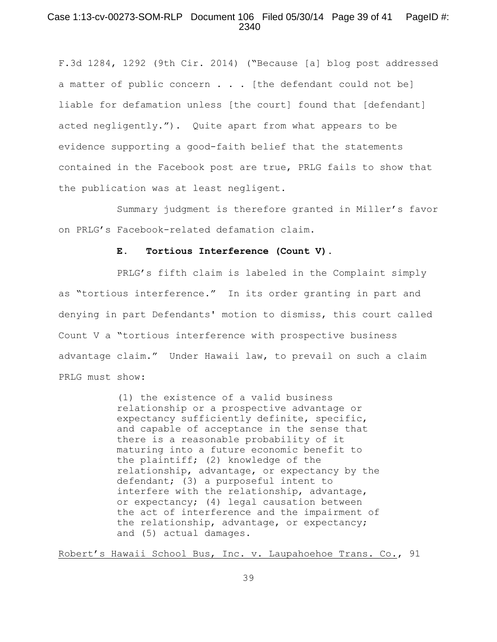# Case 1:13-cv-00273-SOM-RLP Document 106 Filed 05/30/14 Page 39 of 41 PageID #: 2340

F.3d 1284, 1292 (9th Cir. 2014) ("Because [a] blog post addressed a matter of public concern . . . [the defendant could not be] liable for defamation unless [the court] found that [defendant] acted negligently."). Quite apart from what appears to be evidence supporting a good-faith belief that the statements contained in the Facebook post are true, PRLG fails to show that the publication was at least negligent.

Summary judgment is therefore granted in Miller's favor on PRLG's Facebook-related defamation claim.

#### **E. Tortious Interference (Count V).**

PRLG's fifth claim is labeled in the Complaint simply as "tortious interference." In its order granting in part and denying in part Defendants' motion to dismiss, this court called Count V a "tortious interference with prospective business advantage claim." Under Hawaii law, to prevail on such a claim PRLG must show:

> (1) the existence of a valid business relationship or a prospective advantage or expectancy sufficiently definite, specific, and capable of acceptance in the sense that there is a reasonable probability of it maturing into a future economic benefit to the plaintiff; (2) knowledge of the relationship, advantage, or expectancy by the defendant; (3) a purposeful intent to interfere with the relationship, advantage, or expectancy; (4) legal causation between the act of interference and the impairment of the relationship, advantage, or expectancy; and (5) actual damages.

Robert's Hawaii School Bus, Inc. v. Laupahoehoe Trans. Co., 91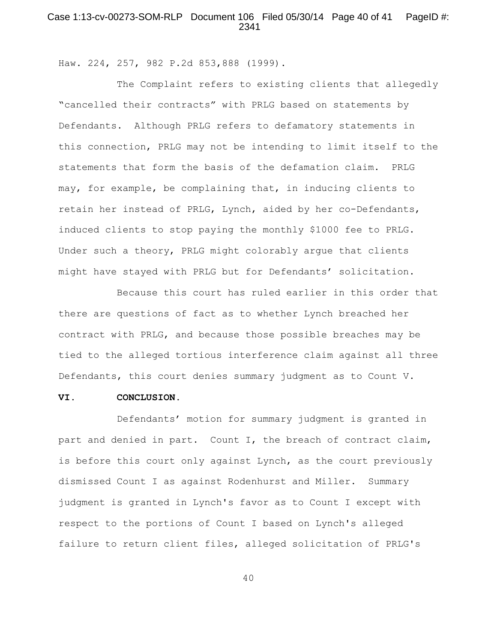# Case 1:13-cv-00273-SOM-RLP Document 106 Filed 05/30/14 Page 40 of 41 PageID #: 2341

Haw. 224, 257, 982 P.2d 853,888 (1999).

The Complaint refers to existing clients that allegedly "cancelled their contracts" with PRLG based on statements by Defendants. Although PRLG refers to defamatory statements in this connection, PRLG may not be intending to limit itself to the statements that form the basis of the defamation claim. PRLG may, for example, be complaining that, in inducing clients to retain her instead of PRLG, Lynch, aided by her co-Defendants, induced clients to stop paying the monthly \$1000 fee to PRLG. Under such a theory, PRLG might colorably argue that clients might have stayed with PRLG but for Defendants' solicitation.

Because this court has ruled earlier in this order that there are questions of fact as to whether Lynch breached her contract with PRLG, and because those possible breaches may be tied to the alleged tortious interference claim against all three Defendants, this court denies summary judgment as to Count V.

#### **VI. CONCLUSION.**

Defendants' motion for summary judgment is granted in part and denied in part. Count I, the breach of contract claim, is before this court only against Lynch, as the court previously dismissed Count I as against Rodenhurst and Miller. Summary judgment is granted in Lynch's favor as to Count I except with respect to the portions of Count I based on Lynch's alleged failure to return client files, alleged solicitation of PRLG's